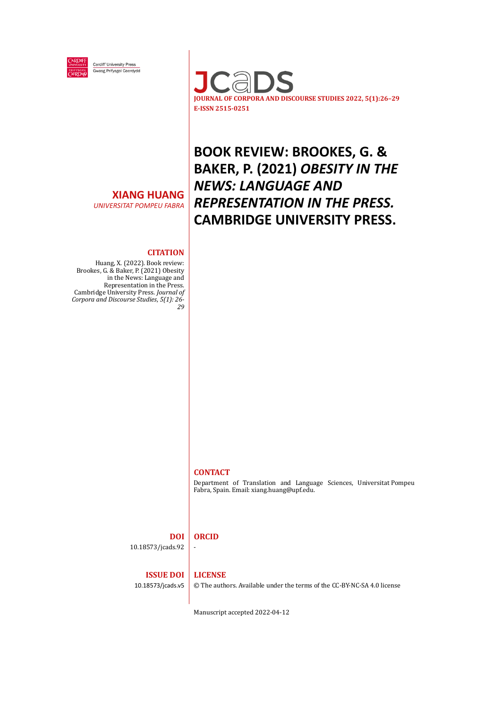

**Cardiff University Press** Gwasg Prifysgol Caerdydd



## **XIANG HUANG**

*UNIVERSITAT POMPEU FABRA*

# **BOOK REVIEW: BROOKES, G. & BAKER, P. (2021)** *OBESITY IN THE NEWS: LANGUAGE AND REPRESENTATION IN THE PRESS.* **CAMBRIDGE UNIVERSITY PRESS.**

### **CITATION**

Huang, X. (2022). Book review: Brookes, G. & Baker, P. (2021) Obesity in the News: Language and Representation in the Press. Cambridge University Press. *Journal of Corpora and Discourse Studies*, *5(1): 26- 29*

### **CONTACT**

Department of Translation and Language Sciences, Universitat Pompeu Fabra, Spain. Email: xiang.huang@upf.edu.

#### **DOI ORCID** -

10.18573/jcads.92

#### **ISSUE DOI LICENSE**

10.18573/jcads.v5

© The authors. Available under the terms of the CC-BY-NC-SA 4.0 license

Manuscript accepted 2022-04-12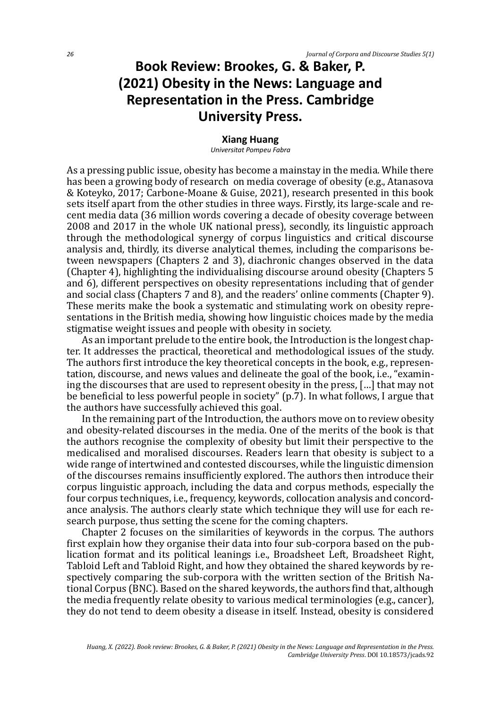## **Book Review: Brookes, G. & Baker, P. (2021) Obesity in the News: Language and Representation in the Press. Cambridge University Press.**

### **Xiang Huang**

*Universitat Pompeu Fabra*

As a pressing public issue, obesity has become a mainstay in the media. While there has been a growing body of research on media coverage of obesity (e.g., Atanasova & Koteyko, 2017; Carbone-Moane & Guise, 2021), research presented in this book sets itself apart from the other studies in three ways. Firstly, its large-scale and recent media data (36 million words covering a decade of obesity coverage between 2008 and 2017 in the whole UK national press), secondly, its linguistic approach through the methodological synergy of corpus linguistics and critical discourse analysis and, thirdly, its diverse analytical themes, including the comparisons between newspapers (Chapters 2 and 3), diachronic changes observed in the data (Chapter 4), highlighting the individualising discourse around obesity (Chapters 5 and 6), different perspectives on obesity representations including that of gender and social class (Chapters 7 and 8), and the readers' online comments (Chapter 9). These merits make the book a systematic and stimulating work on obesity representations in the British media, showing how linguistic choices made by the media stigmatise weight issues and people with obesity in society.

As an important prelude to the entire book, the Introduction is the longest chapter. It addresses the practical, theoretical and methodological issues of the study. The authors first introduce the key theoretical concepts in the book, e.g., representation, discourse, and news values and delineate the goal of the book, i.e., "examining the discourses that are used to represent obesity in the press, […] that may not be beneficial to less powerful people in society" (p.7). In what follows, I argue that the authors have successfully achieved this goal.

In the remaining part of the Introduction, the authors move on to review obesity and obesity-related discourses in the media. One of the merits of the book is that the authors recognise the complexity of obesity but limit their perspective to the medicalised and moralised discourses. Readers learn that obesity is subject to a wide range of intertwined and contested discourses, while the linguistic dimension of the discourses remains insufficiently explored. The authors then introduce their corpus linguistic approach, including the data and corpus methods, especially the four corpus techniques, i.e., frequency, keywords, collocation analysis and concordance analysis. The authors clearly state which technique they will use for each research purpose, thus setting the scene for the coming chapters.

Chapter 2 focuses on the similarities of keywords in the corpus. The authors first explain how they organise their data into four sub-corpora based on the publication format and its political leanings i.e., Broadsheet Left, Broadsheet Right, Tabloid Left and Tabloid Right, and how they obtained the shared keywords by respectively comparing the sub-corpora with the written section of the British National Corpus (BNC). Based on the shared keywords, the authors find that, although the media frequently relate obesity to various medical terminologies (e.g., cancer), they do not tend to deem obesity a disease in itself. Instead, obesity is considered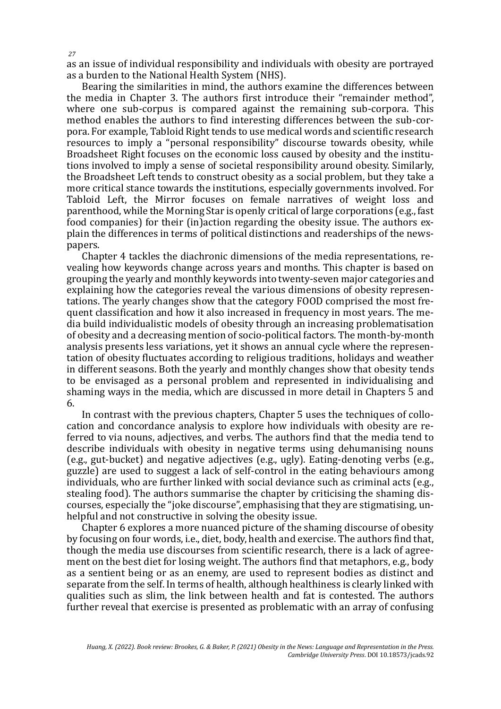as an issue of individual responsibility and individuals with obesity are portrayed as a burden to the National Health System (NHS).

Bearing the similarities in mind, the authors examine the differences between the media in Chapter 3. The authors first introduce their "remainder method", where one sub-corpus is compared against the remaining sub-corpora. This method enables the authors to find interesting differences between the sub-corpora. For example, Tabloid Right tends to use medical words and scientific research resources to imply a "personal responsibility" discourse towards obesity, while Broadsheet Right focuses on the economic loss caused by obesity and the institutions involved to imply a sense of societal responsibility around obesity. Similarly, the Broadsheet Left tends to construct obesity as a social problem, but they take a more critical stance towards the institutions, especially governments involved. For Tabloid Left, the Mirror focuses on female narratives of weight loss and parenthood, while the Morning Star is openly critical of large corporations (e.g., fast food companies) for their (in)action regarding the obesity issue. The authors explain the differences in terms of political distinctions and readerships of the newspapers.

Chapter 4 tackles the diachronic dimensions of the media representations, revealing how keywords change across years and months. This chapter is based on grouping the yearly and monthly keywords into twenty-seven major categories and explaining how the categories reveal the various dimensions of obesity representations. The yearly changes show that the category FOOD comprised the most frequent classification and how it also increased in frequency in most years. The media build individualistic models of obesity through an increasing problematisation of obesity and a decreasing mention of socio-political factors. The month-by-month analysis presents less variations, yet it shows an annual cycle where the representation of obesity fluctuates according to religious traditions, holidays and weather in different seasons. Both the yearly and monthly changes show that obesity tends to be envisaged as a personal problem and represented in individualising and shaming ways in the media, which are discussed in more detail in Chapters 5 and 6.

In contrast with the previous chapters, Chapter 5 uses the techniques of collocation and concordance analysis to explore how individuals with obesity are referred to via nouns, adjectives, and verbs. The authors find that the media tend to describe individuals with obesity in negative terms using dehumanising nouns (e.g., gut-bucket) and negative adjectives (e.g., ugly). Eating-denoting verbs (e.g., guzzle) are used to suggest a lack of self-control in the eating behaviours among individuals, who are further linked with social deviance such as criminal acts (e.g., stealing food). The authors summarise the chapter by criticising the shaming discourses, especially the "joke discourse", emphasising that they are stigmatising, unhelpful and not constructive in solving the obesity issue.

Chapter 6 explores a more nuanced picture of the shaming discourse of obesity by focusing on four words, i.e., diet, body, health and exercise. The authors find that, though the media use discourses from scientific research, there is a lack of agreement on the best diet for losing weight. The authors find that metaphors, e.g., body as a sentient being or as an enemy, are used to represent bodies as distinct and separate from the self. In terms of health, although healthiness is clearly linked with qualities such as slim, the link between health and fat is contested. The authors further reveal that exercise is presented as problematic with an array of confusing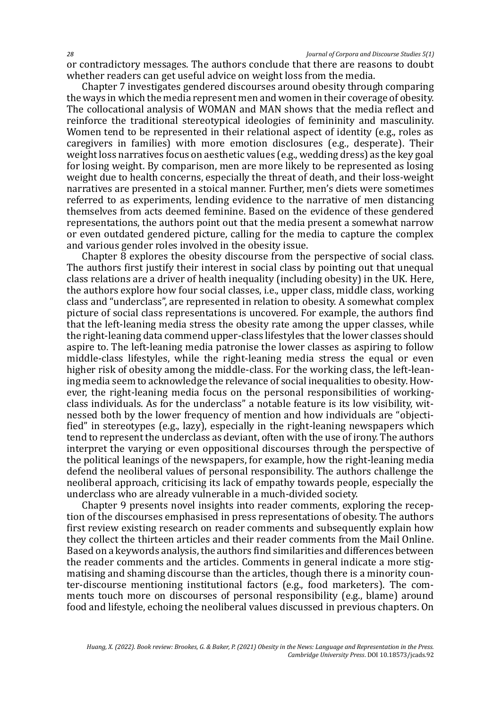or contradictory messages. The authors conclude that there are reasons to doubt whether readers can get useful advice on weight loss from the media.

Chapter 7 investigates gendered discourses around obesity through comparing the ways in which the media represent men and women in their coverage of obesity. The collocational analysis of WOMAN and MAN shows that the media reflect and reinforce the traditional stereotypical ideologies of femininity and masculinity. Women tend to be represented in their relational aspect of identity (e.g., roles as caregivers in families) with more emotion disclosures (e.g., desperate). Their weight loss narratives focus on aesthetic values (e.g., wedding dress) as the key goal for losing weight. By comparison, men are more likely to be represented as losing weight due to health concerns, especially the threat of death, and their loss-weight narratives are presented in a stoical manner. Further, men's diets were sometimes referred to as experiments, lending evidence to the narrative of men distancing themselves from acts deemed feminine. Based on the evidence of these gendered representations, the authors point out that the media present a somewhat narrow or even outdated gendered picture, calling for the media to capture the complex and various gender roles involved in the obesity issue.

Chapter 8 explores the obesity discourse from the perspective of social class. The authors first justify their interest in social class by pointing out that unequal class relations are a driver of health inequality (including obesity) in the UK. Here, the authors explore how four social classes, i.e., upper class, middle class, working class and "underclass", are represented in relation to obesity. A somewhat complex picture of social class representations is uncovered. For example, the authors find that the left-leaning media stress the obesity rate among the upper classes, while the right-leaning data commend upper-class lifestyles that the lower classes should aspire to. The left-leaning media patronise the lower classes as aspiring to follow middle-class lifestyles, while the right-leaning media stress the equal or even higher risk of obesity among the middle-class. For the working class, the left-leaning media seem to acknowledge the relevance of social inequalities to obesity. However, the right-leaning media focus on the personal responsibilities of workingclass individuals. As for the underclass" a notable feature is its low visibility, witnessed both by the lower frequency of mention and how individuals are "objectified" in stereotypes (e.g., lazy), especially in the right-leaning newspapers which tend to represent the underclass as deviant, often with the use of irony. The authors interpret the varying or even oppositional discourses through the perspective of the political leanings of the newspapers, for example, how the right-leaning media defend the neoliberal values of personal responsibility. The authors challenge the neoliberal approach, criticising its lack of empathy towards people, especially the underclass who are already vulnerable in a much-divided society.

Chapter 9 presents novel insights into reader comments, exploring the reception of the discourses emphasised in press representations of obesity. The authors first review existing research on reader comments and subsequently explain how they collect the thirteen articles and their reader comments from the Mail Online. Based on a keywords analysis, the authors find similarities and differences between the reader comments and the articles. Comments in general indicate a more stigmatising and shaming discourse than the articles, though there is a minority counter-discourse mentioning institutional factors (e.g., food marketers). The comments touch more on discourses of personal responsibility (e.g., blame) around food and lifestyle, echoing the neoliberal values discussed in previous chapters. On